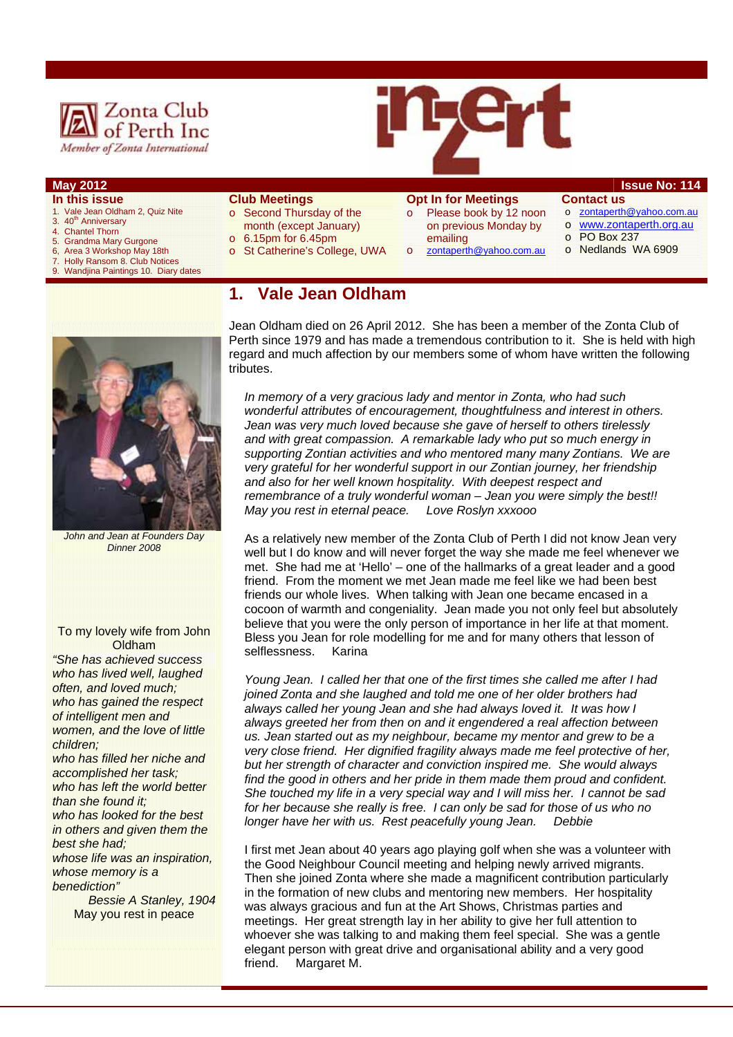



- **In this issue**  1. Vale Jean Oldham 2, Quiz Nite
- 3. 40<sup>th</sup> Anniversary
- 4. Chantel Thorn
- 
- 5. Grandma Mary Gurgone<br>6. Area 3 Workshop May 18 6, Area 3 Workshop May 18th<br>7 Holly Ransom 8 Club Notic
- **Holly Ransom 8. Club Notices**
- 9. Wandjina Paintings 10. Diary dates
- **Club Meetings**  o Second Thursday of the
- month (except January)
	- o 6.15pm for 6.45pm
	- o St Catherine's College, UWA

**1. Vale Jean Oldham** 

#### **Opt In for Meetings**

emailing

on previous Monday by

### **May 2012 Issue No: 114**

- o Please book by 12 noon **Contact us**  o zontaperth@yahoo.com.au
	- o www.zontaperth.org.au
	-
- o zontaperth@yahoo.com.au
- o PO Box 237
- o Nedlands WA 6909



*John and Jean at Founders Day Dinner 2008*

#### To my lovely wife from John Oldham

*"She has achieved success who has lived well, laughed often, and loved much; who has gained the respect of intelligent men and women, and the love of little children; who has filled her niche and accomplished her task; who has left the world better than she found it; who has looked for the best in others and given them the* 

*best she had; whose life was an inspiration, whose memory is a benediction"* 

> *Bessie A Stanley, 1904*  May you rest in peace

Jean Oldham died on 26 April 2012. She has been a member of the Zonta Club of Perth since 1979 and has made a tremendous contribution to it. She is held with high regard and much affection by our members some of whom have written the following tributes.

*In memory of a very gracious lady and mentor in Zonta, who had such wonderful attributes of encouragement, thoughtfulness and interest in others. Jean was very much loved because she gave of herself to others tirelessly and with great compassion. A remarkable lady who put so much energy in supporting Zontian activities and who mentored many many Zontians. We are very grateful for her wonderful support in our Zontian journey, her friendship and also for her well known hospitality. With deepest respect and remembrance of a truly wonderful woman – Jean you were simply the best!! May you rest in eternal peace. Love Roslyn xxxooo* 

As a relatively new member of the Zonta Club of Perth I did not know Jean very well but I do know and will never forget the way she made me feel whenever we met. She had me at 'Hello' – one of the hallmarks of a great leader and a good friend. From the moment we met Jean made me feel like we had been best friends our whole lives. When talking with Jean one became encased in a cocoon of warmth and congeniality. Jean made you not only feel but absolutely believe that you were the only person of importance in her life at that moment. Bless you Jean for role modelling for me and for many others that lesson of selflessness. Karina

*Young Jean. I called her that one of the first times she called me after I had joined Zonta and she laughed and told me one of her older brothers had always called her young Jean and she had always loved it. It was how I always greeted her from then on and it engendered a real affection between us. Jean started out as my neighbour, became my mentor and grew to be a very close friend. Her dignified fragility always made me feel protective of her, but her strength of character and conviction inspired me. She would always find the good in others and her pride in them made them proud and confident. She touched my life in a very special way and I will miss her. I cannot be sad for her because she really is free. I can only be sad for those of us who no longer have her with us. Rest peacefully young Jean. Debbie* 

I first met Jean about 40 years ago playing golf when she was a volunteer with the Good Neighbour Council meeting and helping newly arrived migrants. Then she joined Zonta where she made a magnificent contribution particularly in the formation of new clubs and mentoring new members. Her hospitality was always gracious and fun at the Art Shows, Christmas parties and meetings. Her great strength lay in her ability to give her full attention to whoever she was talking to and making them feel special. She was a gentle elegant person with great drive and organisational ability and a very good friend. Margaret M.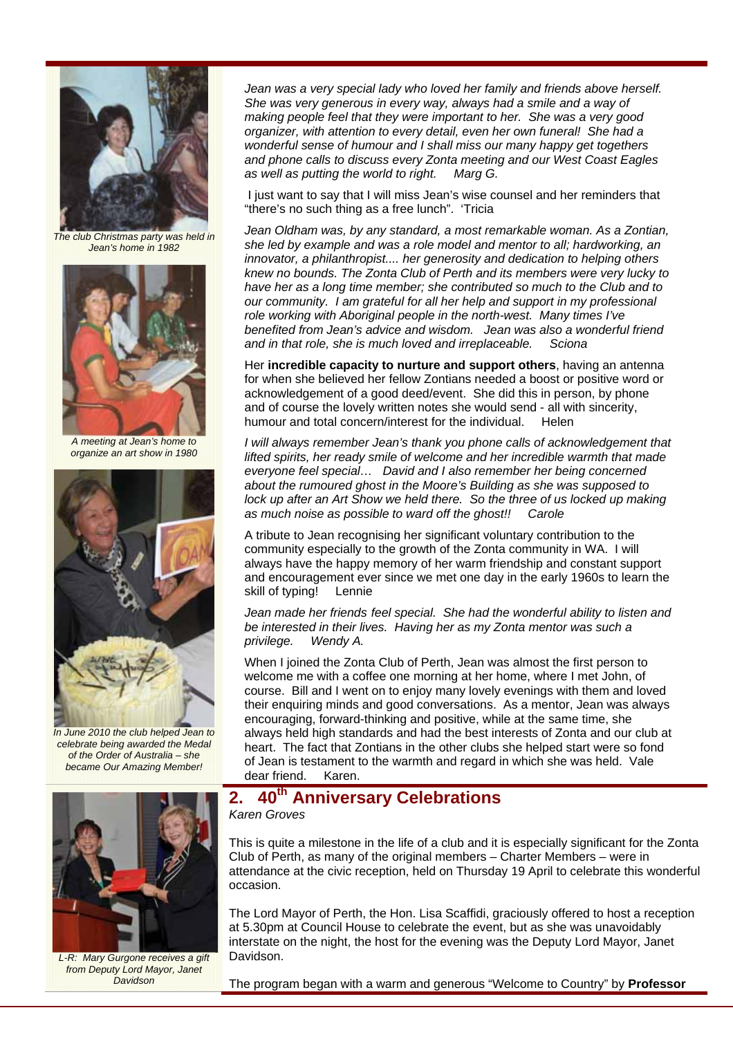

*The club Christmas party was held in Jean's home in 1982* 



*A meeting at Jean's home to organize an art show in 1980* 



*In June 2010 the club helped Jean to celebrate being awarded the Medal of the Order of Australia – she became Our Amazing Member!* 



 I just want to say that I will miss Jean's wise counsel and her reminders that "there's no such thing as a free lunch". 'Tricia

*Jean Oldham was, by any standard, a most remarkable woman. As a Zontian, she led by example and was a role model and mentor to all; hardworking, an innovator, a philanthropist.... her generosity and dedication to helping others knew no bounds. The Zonta Club of Perth and its members were very lucky to have her as a long time member; she contributed so much to the Club and to our community. I am grateful for all her help and support in my professional role working with Aboriginal people in the north-west. Many times I've benefited from Jean's advice and wisdom. Jean was also a wonderful friend and in that role, she is much loved and irreplaceable. Sciona* 

Her **incredible capacity to nurture and support others**, having an antenna for when she believed her fellow Zontians needed a boost or positive word or acknowledgement of a good deed/event. She did this in person, by phone and of course the lovely written notes she would send - all with sincerity, humour and total concern/interest for the individual. Helen

*I will always remember Jean's thank you phone calls of acknowledgement that lifted spirits, her ready smile of welcome and her incredible warmth that made everyone feel special… David and I also remember her being concerned about the rumoured ghost in the Moore's Building as she was supposed to lock up after an Art Show we held there. So the three of us locked up making as much noise as possible to ward off the ghost!! Carole* 

A tribute to Jean recognising her significant voluntary contribution to the community especially to the growth of the Zonta community in WA. I will always have the happy memory of her warm friendship and constant support and encouragement ever since we met one day in the early 1960s to learn the skill of typing! Lennie

*Jean made her friends feel special. She had the wonderful ability to listen and be interested in their lives. Having her as my Zonta mentor was such a Wendy A.* 

When I joined the Zonta Club of Perth, Jean was almost the first person to welcome me with a coffee one morning at her home, where I met John, of course. Bill and I went on to enjoy many lovely evenings with them and loved their enquiring minds and good conversations. As a mentor, Jean was always encouraging, forward-thinking and positive, while at the same time, she always held high standards and had the best interests of Zonta and our club at heart. The fact that Zontians in the other clubs she helped start were so fond of Jean is testament to the warmth and regard in which she was held. Vale dear friend. Karen.



*L-R: Mary Gurgone receives a gift from Deputy Lord Mayor, Janet Davidson* 

# **2. 40th Anniversary Celebrations**

#### *Karen Groves*

This is quite a milestone in the life of a club and it is especially significant for the Zonta Club of Perth, as many of the original members – Charter Members – were in attendance at the civic reception, held on Thursday 19 April to celebrate this wonderful occasion.

The Lord Mayor of Perth, the Hon. Lisa Scaffidi, graciously offered to host a reception at 5.30pm at Council House to celebrate the event, but as she was unavoidably interstate on the night, the host for the evening was the Deputy Lord Mayor, Janet Davidson.

The program began with a warm and generous "Welcome to Country" by **Professor**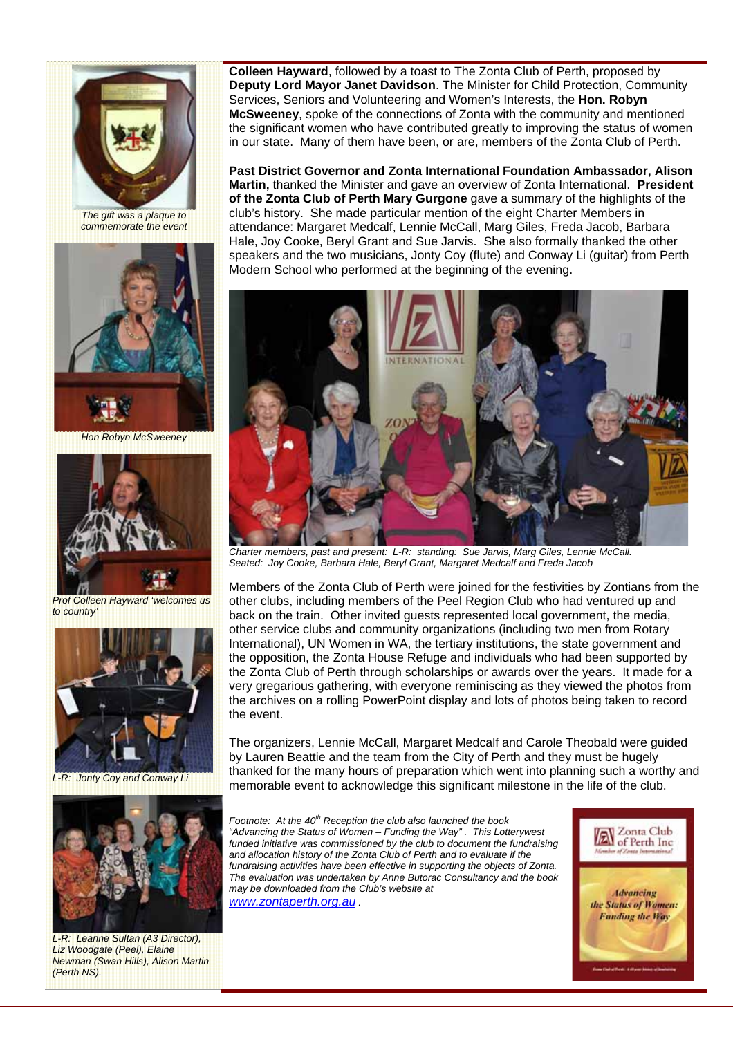

*The gift was a plaque to commemorate the event* 



*Hon Robyn McSweeney* 



*Prof Colleen Hayward 'welcomes us to country'* 



*L-R: Jonty Coy and Conway Li* 



*L-R: Leanne Sultan (A3 Director), Liz Woodgate (Peel), Elaine Newman (Swan Hills), Alison Martin (Perth NS).* 

**Colleen Hayward**, followed by a toast to The Zonta Club of Perth, proposed by **Deputy Lord Mayor Janet Davidson**. The Minister for Child Protection, Community Services, Seniors and Volunteering and Women's Interests, the **Hon. Robyn McSweeney**, spoke of the connections of Zonta with the community and mentioned the significant women who have contributed greatly to improving the status of women in our state. Many of them have been, or are, members of the Zonta Club of Perth.

**Past District Governor and Zonta International Foundation Ambassador, Alison Martin,** thanked the Minister and gave an overview of Zonta International. **President of the Zonta Club of Perth Mary Gurgone** gave a summary of the highlights of the club's history. She made particular mention of the eight Charter Members in attendance: Margaret Medcalf, Lennie McCall, Marg Giles, Freda Jacob, Barbara Hale, Joy Cooke, Beryl Grant and Sue Jarvis. She also formally thanked the other speakers and the two musicians, Jonty Coy (flute) and Conway Li (guitar) from Perth Modern School who performed at the beginning of the evening.



*Charter members, past and present: L-R: standing: Sue Jarvis, Marg Giles, Lennie McCall. Seated: Joy Cooke, Barbara Hale, Beryl Grant, Margaret Medcalf and Freda Jacob* 

Members of the Zonta Club of Perth were joined for the festivities by Zontians from the other clubs, including members of the Peel Region Club who had ventured up and back on the train. Other invited guests represented local government, the media, other service clubs and community organizations (including two men from Rotary International), UN Women in WA, the tertiary institutions, the state government and the opposition, the Zonta House Refuge and individuals who had been supported by the Zonta Club of Perth through scholarships or awards over the years. It made for a very gregarious gathering, with everyone reminiscing as they viewed the photos from the archives on a rolling PowerPoint display and lots of photos being taken to record the event.

The organizers, Lennie McCall, Margaret Medcalf and Carole Theobald were guided by Lauren Beattie and the team from the City of Perth and they must be hugely thanked for the many hours of preparation which went into planning such a worthy and memorable event to acknowledge this significant milestone in the life of the club.

*Footnote: At the 40<sup>th</sup> Reception the club also launched the book "Advancing the Status of Women – Funding the Way" . This Lotterywest funded initiative was commissioned by the club to document the fundraising and allocation history of the Zonta Club of Perth and to evaluate if the fundraising activities have been effective in supporting the objects of Zonta. The evaluation was undertaken by Anne Butorac Consultancy and the book may be downloaded from the Club's website at www.zontaperth.org.au .* 

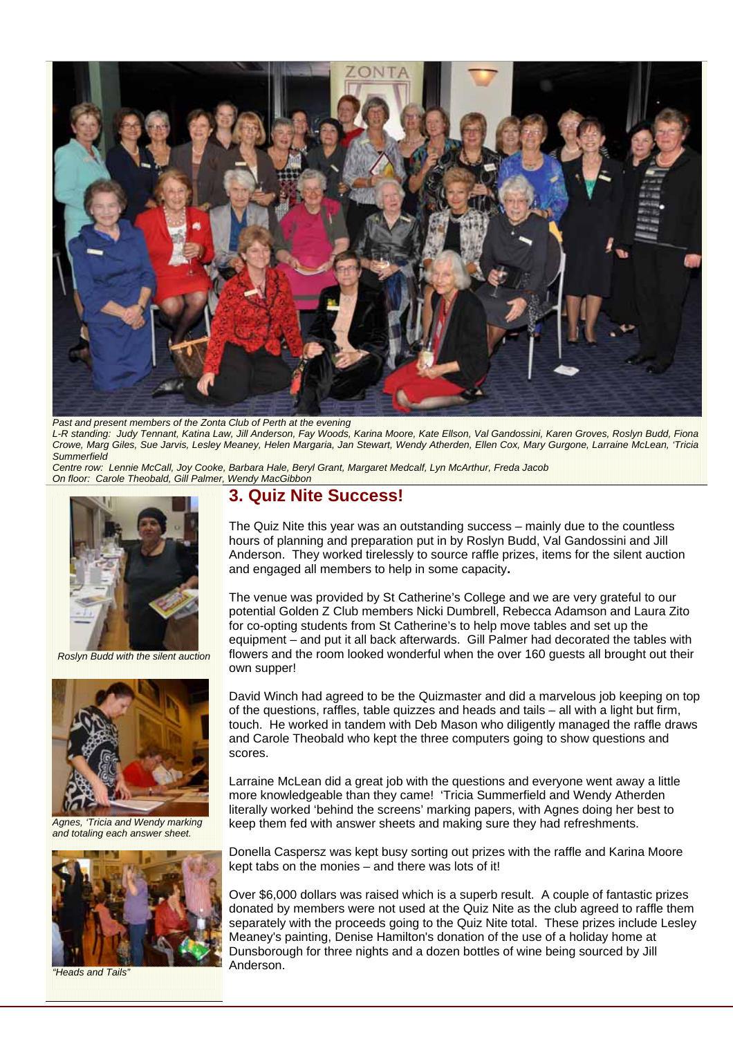

**Past and present members of the Zonta Club of Perth at the evening** *L-R standing: Judy Tennant, Katina Law, Jill Anderson, Fay Woods, Karina Moore, Kate Ellson, Val Gandossini, Karen Groves, Roslyn Budd, Fiona Crowe, Marg Giles, Sue Jarvis, Lesley Meaney, Helen Margaria, Jan Stewart, Wendy Atherden, Ellen Cox, Mary Gurgone, Larraine McLean, 'Tricia Summerfield* 

*Centre row: Lennie McCall, Joy Cooke, Barbara Hale, Beryl Grant, Margaret Medcalf, Lyn McArthur, Freda Jacob On floor: Carole Theobald, Gill Palmer, Wendy MacGibbon* 



*Roslyn Budd with the silent auction* 



*Agnes, 'Tricia and Wendy marking and totaling each answer sheet.* 



*"Heads and Tails"* 

## **3. Quiz Nite Success!**

The Quiz Nite this year was an outstanding success – mainly due to the countless hours of planning and preparation put in by Roslyn Budd, Val Gandossini and Jill Anderson. They worked tirelessly to source raffle prizes, items for the silent auction and engaged all members to help in some capacity**.** 

The venue was provided by St Catherine's College and we are very grateful to our potential Golden Z Club members Nicki Dumbrell, Rebecca Adamson and Laura Zito for co-opting students from St Catherine's to help move tables and set up the equipment – and put it all back afterwards. Gill Palmer had decorated the tables with flowers and the room looked wonderful when the over 160 guests all brought out their own supper!

David Winch had agreed to be the Quizmaster and did a marvelous job keeping on top of the questions, raffles, table quizzes and heads and tails – all with a light but firm, touch. He worked in tandem with Deb Mason who diligently managed the raffle draws and Carole Theobald who kept the three computers going to show questions and scores.

Larraine McLean did a great job with the questions and everyone went away a little more knowledgeable than they came! 'Tricia Summerfield and Wendy Atherden literally worked 'behind the screens' marking papers, with Agnes doing her best to keep them fed with answer sheets and making sure they had refreshments.

Donella Caspersz was kept busy sorting out prizes with the raffle and Karina Moore kept tabs on the monies – and there was lots of it!

Over \$6,000 dollars was raised which is a superb result. A couple of fantastic prizes donated by members were not used at the Quiz Nite as the club agreed to raffle them separately with the proceeds going to the Quiz Nite total. These prizes include Lesley Meaney's painting, Denise Hamilton's donation of the use of a holiday home at Dunsborough for three nights and a dozen bottles of wine being sourced by Jill Anderson.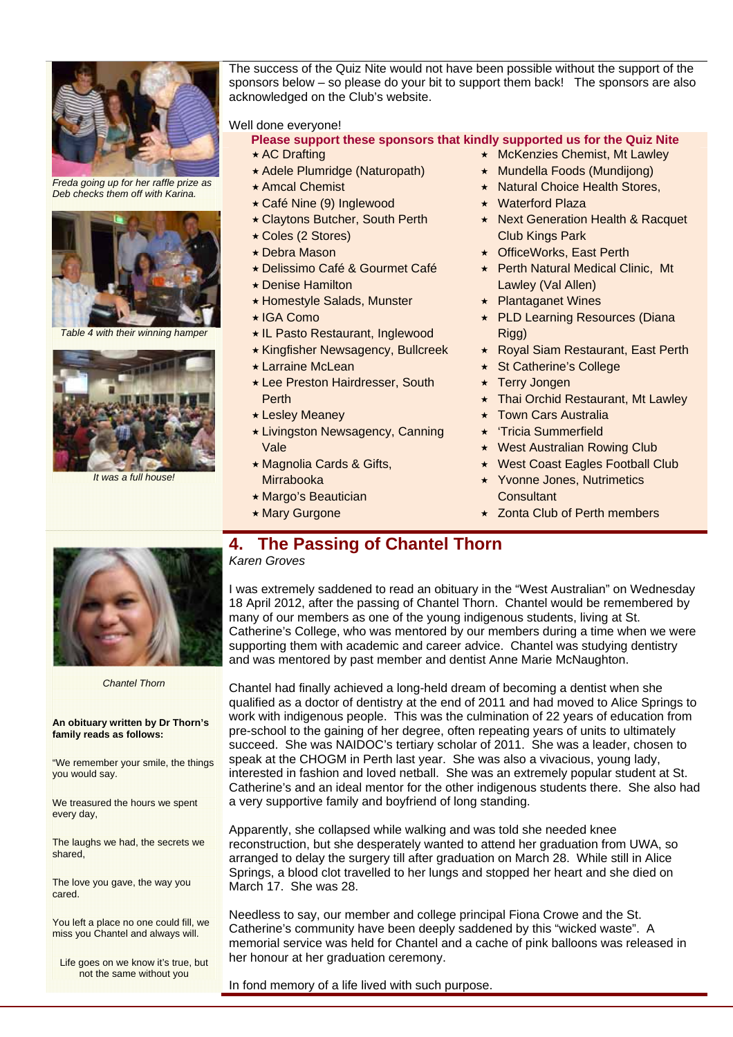

*Freda going up for her raffle prize as Deb checks them off with Karina.* 



**Table 4 with their winning hamper** 



*It was a full house!*

The success of the Quiz Nite would not have been possible without the support of the sponsors below – so please do your bit to support them back! The sponsors are also acknowledged on the Club's website.

Well done everyone!

- **Please support these sponsors that kindly supported us for the Quiz Nite** 
	- \* AC Drafting
	- Adele Plumridge (Naturopath)
	- $\star$  Amcal Chemist
	- Café Nine (9) Inglewood
	- Claytons Butcher, South Perth
	- Coles (2 Stores)
	- Debra Mason
	- Delissimo Café & Gourmet Café
	- Denise Hamilton
	- ★ Homestyle Salads, Munster
	- ★ IGA Como
	- IL Pasto Restaurant, Inglewood
	- Kingfisher Newsagency, Bullcreek
	- Larraine McLean
	- Lee Preston Hairdresser, South **Perth**
	- Lesley Meaney
	- Livingston Newsagency, Canning Vale
	- Magnolia Cards & Gifts, Mirrabooka
	- $\star$  Margo's Beautician
- **\* Mary Gurgone**
- **\*** McKenzies Chemist, Mt Lawley
- Mundella Foods (Mundijong)
- \* Natural Choice Health Stores,
- Waterford Plaza
- ★ Next Generation Health & Racquet Club Kings Park
- ★ OfficeWorks, East Perth
- ★ Perth Natural Medical Clinic, Mt Lawley (Val Allen)
- **★ Plantaganet Wines**
- ★ PLD Learning Resources (Diana Rigg)
- Royal Siam Restaurant, East Perth
- ★ St Catherine's College
- ★ Terry Jongen
- ★ Thai Orchid Restaurant, Mt Lawley
- Town Cars Australia
- 'Tricia Summerfield
- ★ West Australian Rowing Club
- ★ West Coast Eagles Football Club
- ★ Yvonne Jones, Nutrimetics Consultant
- ★ Zonta Club of Perth members



#### *Chantel Thorn*

#### **An obituary written by Dr Thorn's family reads as follows:**

"We remember your smile, the things you would say.

We treasured the hours we spent every day,

The laughs we had, the secrets we shared,

The love you gave, the way you cared.

You left a place no one could fill, we miss you Chantel and always will.

Life goes on we know it's true, but not the same without you

# **4. The Passing of Chantel Thorn**

*Karen Groves* 

I was extremely saddened to read an obituary in the "West Australian" on Wednesday 18 April 2012, after the passing of Chantel Thorn. Chantel would be remembered by many of our members as one of the young indigenous students, living at St. Catherine's College, who was mentored by our members during a time when we were supporting them with academic and career advice. Chantel was studying dentistry and was mentored by past member and dentist Anne Marie McNaughton.

Chantel had finally achieved a long-held dream of becoming a dentist when she qualified as a doctor of dentistry at the end of 2011 and had moved to Alice Springs to work with indigenous people. This was the culmination of 22 years of education from pre-school to the gaining of her degree, often repeating years of units to ultimately succeed. She was NAIDOC's tertiary scholar of 2011. She was a leader, chosen to speak at the CHOGM in Perth last year. She was also a vivacious, young lady, interested in fashion and loved netball. She was an extremely popular student at St. Catherine's and an ideal mentor for the other indigenous students there. She also had a very supportive family and boyfriend of long standing.

Apparently, she collapsed while walking and was told she needed knee reconstruction, but she desperately wanted to attend her graduation from UWA, so arranged to delay the surgery till after graduation on March 28. While still in Alice Springs, a blood clot travelled to her lungs and stopped her heart and she died on March 17. She was 28.

Needless to say, our member and college principal Fiona Crowe and the St. Catherine's community have been deeply saddened by this "wicked waste". A memorial service was held for Chantel and a cache of pink balloons was released in her honour at her graduation ceremony.

#### In fond memory of a life lived with such purpose.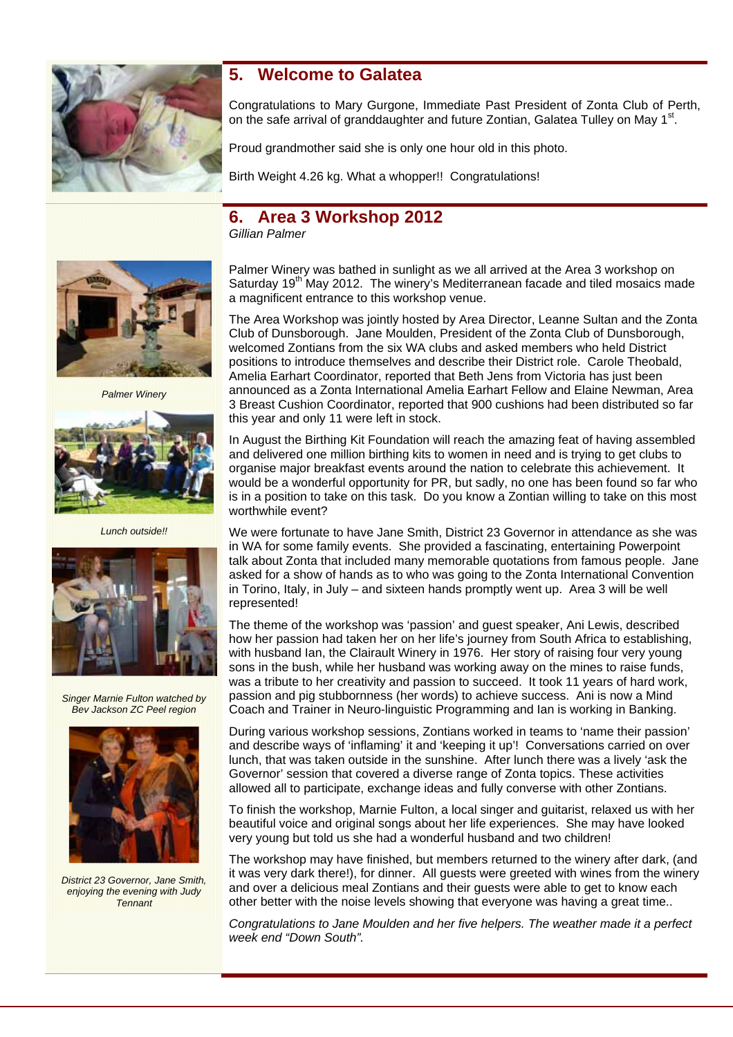

### **5. Welcome to Galatea**

Congratulations to Mary Gurgone, Immediate Past President of Zonta Club of Perth, on the safe arrival of granddaughter and future Zontian, Galatea Tulley on May  $1<sup>st</sup>$ .

Proud grandmother said she is only one hour old in this photo.

Birth Weight 4.26 kg. What a whopper!! Congratulations!

# **6. Area 3 Workshop 2012**

*Gillian Palmer* 



*Palmer Winery* 



*Lunch outside!!* 



*Singer Marnie Fulton watched by Bev Jackson ZC Peel region* 



*District 23 Governor, Jane Smith, enjoying the evening with Judy Tennant* 

Palmer Winery was bathed in sunlight as we all arrived at the Area 3 workshop on Saturday 19<sup>th</sup> May 2012. The winery's Mediterranean facade and tiled mosaics made a magnificent entrance to this workshop venue.

The Area Workshop was jointly hosted by Area Director, Leanne Sultan and the Zonta Club of Dunsborough. Jane Moulden, President of the Zonta Club of Dunsborough, welcomed Zontians from the six WA clubs and asked members who held District positions to introduce themselves and describe their District role. Carole Theobald, Amelia Earhart Coordinator, reported that Beth Jens from Victoria has just been announced as a Zonta International Amelia Earhart Fellow and Elaine Newman, Area 3 Breast Cushion Coordinator, reported that 900 cushions had been distributed so far this year and only 11 were left in stock.

In August the Birthing Kit Foundation will reach the amazing feat of having assembled and delivered one million birthing kits to women in need and is trying to get clubs to organise major breakfast events around the nation to celebrate this achievement. It would be a wonderful opportunity for PR, but sadly, no one has been found so far who is in a position to take on this task. Do you know a Zontian willing to take on this most worthwhile event?

We were fortunate to have Jane Smith, District 23 Governor in attendance as she was in WA for some family events. She provided a fascinating, entertaining Powerpoint talk about Zonta that included many memorable quotations from famous people. Jane asked for a show of hands as to who was going to the Zonta International Convention in Torino, Italy, in July – and sixteen hands promptly went up. Area 3 will be well represented!

The theme of the workshop was 'passion' and guest speaker, Ani Lewis, described how her passion had taken her on her life's journey from South Africa to establishing, with husband Ian, the Clairault Winery in 1976. Her story of raising four very young sons in the bush, while her husband was working away on the mines to raise funds, was a tribute to her creativity and passion to succeed. It took 11 years of hard work, passion and pig stubbornness (her words) to achieve success. Ani is now a Mind Coach and Trainer in Neuro-linguistic Programming and Ian is working in Banking.

During various workshop sessions, Zontians worked in teams to 'name their passion' and describe ways of 'inflaming' it and 'keeping it up'! Conversations carried on over lunch, that was taken outside in the sunshine. After lunch there was a lively 'ask the Governor' session that covered a diverse range of Zonta topics. These activities allowed all to participate, exchange ideas and fully converse with other Zontians.

To finish the workshop, Marnie Fulton, a local singer and guitarist, relaxed us with her beautiful voice and original songs about her life experiences. She may have looked very young but told us she had a wonderful husband and two children!

The workshop may have finished, but members returned to the winery after dark, (and it was very dark there!), for dinner. All guests were greeted with wines from the winery and over a delicious meal Zontians and their guests were able to get to know each other better with the noise levels showing that everyone was having a great time..

*Congratulations to Jane Moulden and her five helpers. The weather made it a perfect week end "Down South".*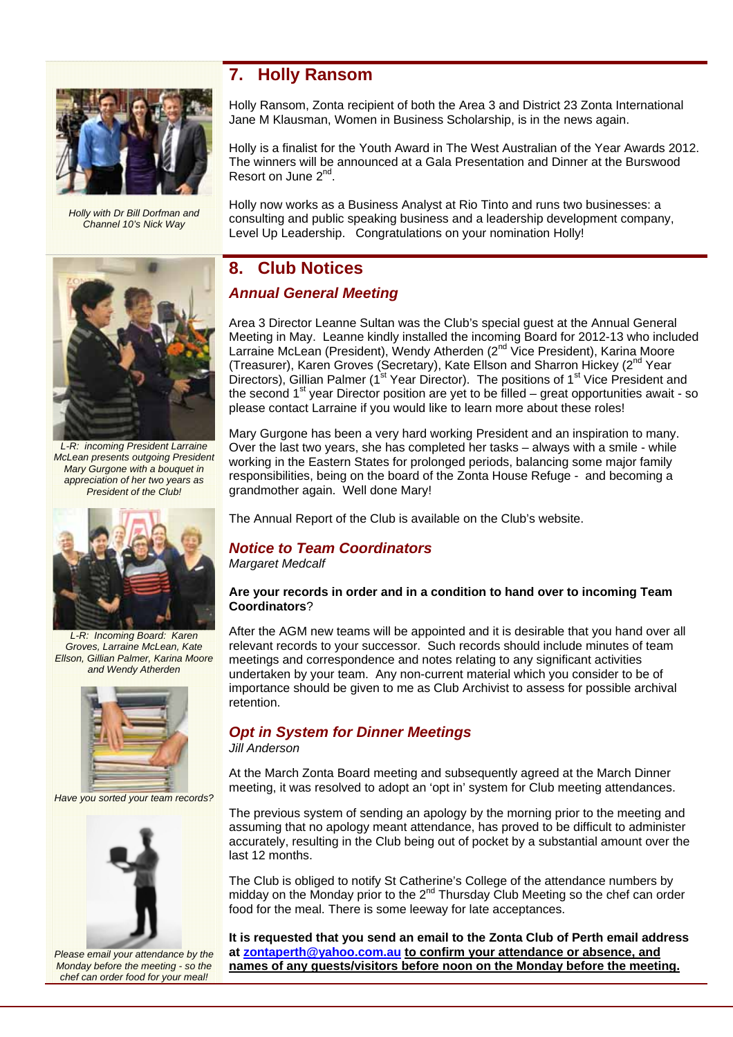

*Holly with Dr Bill Dorfman and Channel 10's Nick Way* 



*L-R: incoming President Larraine McLean presents outgoing President Mary Gurgone with a bouquet in appreciation of her two years as President of the Club!* 



*L-R: Incoming Board: Karen Groves, Larraine McLean, Kate Ellson, Gillian Palmer, Karina Moore and Wendy Atherden* 



*Have you sorted your team records?* 



*Please email your attendance by the Monday before the meeting - so the chef can order food for your meal!* 

### **7. Holly Ransom**

Holly Ransom, Zonta recipient of both the Area 3 and District 23 Zonta International Jane M Klausman, Women in Business Scholarship, is in the news again.

Holly is a finalist for the Youth Award in The West Australian of the Year Awards 2012. The winners will be announced at a Gala Presentation and Dinner at the Burswood Resort on June 2<sup>nd</sup>.

Holly now works as a Business Analyst at Rio Tinto and runs two businesses: a consulting and public speaking business and a leadership development company, Level Up Leadership. Congratulations on your nomination Holly!

### **8. Club Notices**

### *Annual General Meeting*

Area 3 Director Leanne Sultan was the Club's special guest at the Annual General Meeting in May. Leanne kindly installed the incoming Board for 2012-13 who included Larraine McLean (President), Wendy Atherden (2<sup>nd</sup> Vice President), Karina Moore (Treasurer), Karen Groves (Secretary), Kate Ellson and Sharron Hickey (2<sup>nd</sup> Year Directors), Gillian Palmer (1<sup>st</sup> Year Director). The positions of 1<sup>st</sup> Vice President and the second  $1<sup>st</sup>$  year Director position are yet to be filled – great opportunities await - so please contact Larraine if you would like to learn more about these roles!

Mary Gurgone has been a very hard working President and an inspiration to many. Over the last two years, she has completed her tasks – always with a smile - while working in the Eastern States for prolonged periods, balancing some major family responsibilities, being on the board of the Zonta House Refuge - and becoming a grandmother again. Well done Mary!

The Annual Report of the Club is available on the Club's website.

### *Notice to Team Coordinators*

*Margaret Medcalf* 

#### **Are your records in order and in a condition to hand over to incoming Team Coordinators**?

After the AGM new teams will be appointed and it is desirable that you hand over all relevant records to your successor. Such records should include minutes of team meetings and correspondence and notes relating to any significant activities undertaken by your team. Any non-current material which you consider to be of importance should be given to me as Club Archivist to assess for possible archival retention.

## *Opt in System for Dinner Meetings*

*Jill Anderson* 

At the March Zonta Board meeting and subsequently agreed at the March Dinner meeting, it was resolved to adopt an 'opt in' system for Club meeting attendances.

The previous system of sending an apology by the morning prior to the meeting and assuming that no apology meant attendance, has proved to be difficult to administer accurately, resulting in the Club being out of pocket by a substantial amount over the last 12 months.

The Club is obliged to notify St Catherine's College of the attendance numbers by midday on the Monday prior to the 2<sup>nd</sup> Thursday Club Meeting so the chef can order food for the meal. There is some leeway for late acceptances.

**It is requested that you send an email to the Zonta Club of Perth email address at zontaperth@yahoo.com.au to confirm your attendance or absence, and names of any guests/visitors before noon on the Monday before the meeting.**